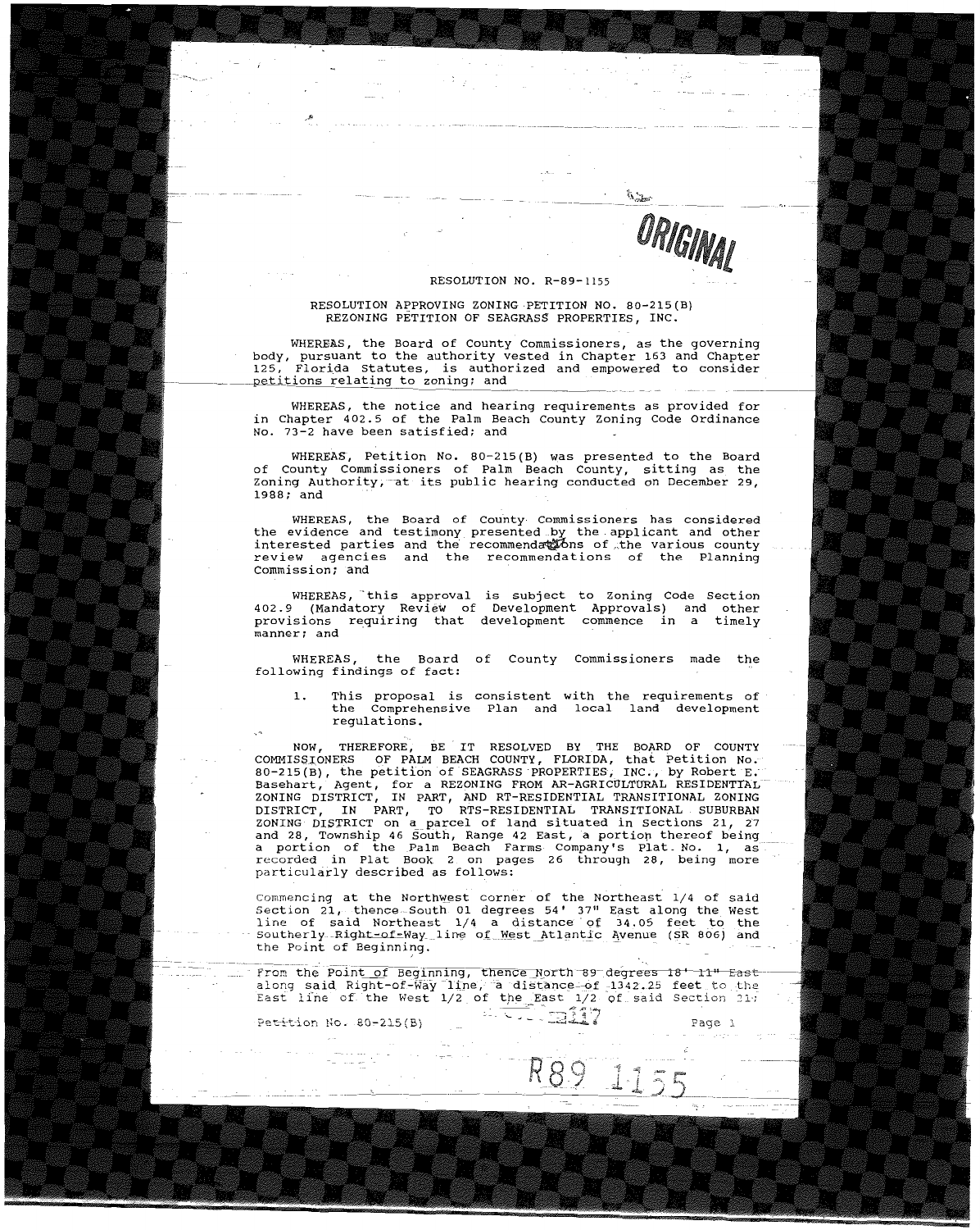ORIGINAL

 $\mu_{\rm 2}$ 

## RESOLUTION NO. R-B9-1155

## RESOLUTION APPROVING ZONING PETITION NO. BO-215(B) REZONING PETITION OF SEAGRASS PROPERTIES, INC.

WHEREAS, the Board of County commissioners, as the governing body, pursuant to the authority vested in Chapter 163 and Chapter 125, Florida Statutes, is authorized and empowered to consider petitions relating to zoning; and

WHEREAS, the notice and hearing requirements as provided for in Chapter 402.5 of the Palm Beach County Zoning Code Ordinance No. 73-2 have been satisfied; and

WHEREAS, Petition No. BO-215(B) was presented to the Board of County Commissioners of Palm Beach County, sitting as the coing Authority, at its public hearing conducted on December 29, 1988; and

WHEREAS, the Board of County Commissioners has considered<br>the evidence and testimony presented by the applicant and other<br>interested parties and the recommendations of the various county<br>review agencies and the recommendat Commission; and

WHEREAS, this approval is subject to Zoning Code Section<br>402.9 (Mandatory Review of Development Approvals) and other<br>provisions requiring that development commence in a timely **manner; and** 

WHEREAS, the Board of County Commissioners made the following findings of fact:

1. This proposal is consistent with the requirements of<br>the Comprehensive Plan and local land development regulations.

NOW, THEREFORE, BE IT RESOLVED BY THE BOARD OF COUNTY<br>COMMISSIONERS OF PALM BEACH COUNTY, FLORIDA, that Petition No.<br>80-215(B), the petition of SEAGRASS PROPERTIES, INC., by Robert E.<br>Basehart, Agent, for a REZONING FROM A ZONING DISTRICT, IN PART, AND RT-RESIDENTIAL TRANSITIONAL ZONING<br>DISTRICT, IN PART, TO RTS-RESIDENTIAL TRANSITIONAL SUBURBAN ZONING DISTRICT on a parcel of land situated in Sections 21, 27 and 28, Township 46 South, Range 42 East, a portion thereof being a portion of the Palm Beach Farms Company's Plat\_ **No.1,** as recorded in Plat Book 2 on pages 26 through 2B, being more particularly described as follows:

commencing at the Northw\_est corner of the Northeast 1/4 of said Section 21, thence-South 01 degrees 54' 37" East along the West<br>line of said Northeast 1/4 a distance of 34.05 feet to the Southerly-Right-of-Way\_line of West Atlantic Avenue (SR 806) and the Point of Beginning.

from the Point of Beginning, thence North-89 degrees 18' 11" East along said Right-of-way line, a distance-of 1342.25 feet to the<br>East line of the West 1/2 of the East 1/2 of said Section 21. ?~t-i-t.--ion l~O. B.O~2l5(B) **"'"- -' =** ----=811~7

R89 11

**Page 1** 

---"--\_.\_-------------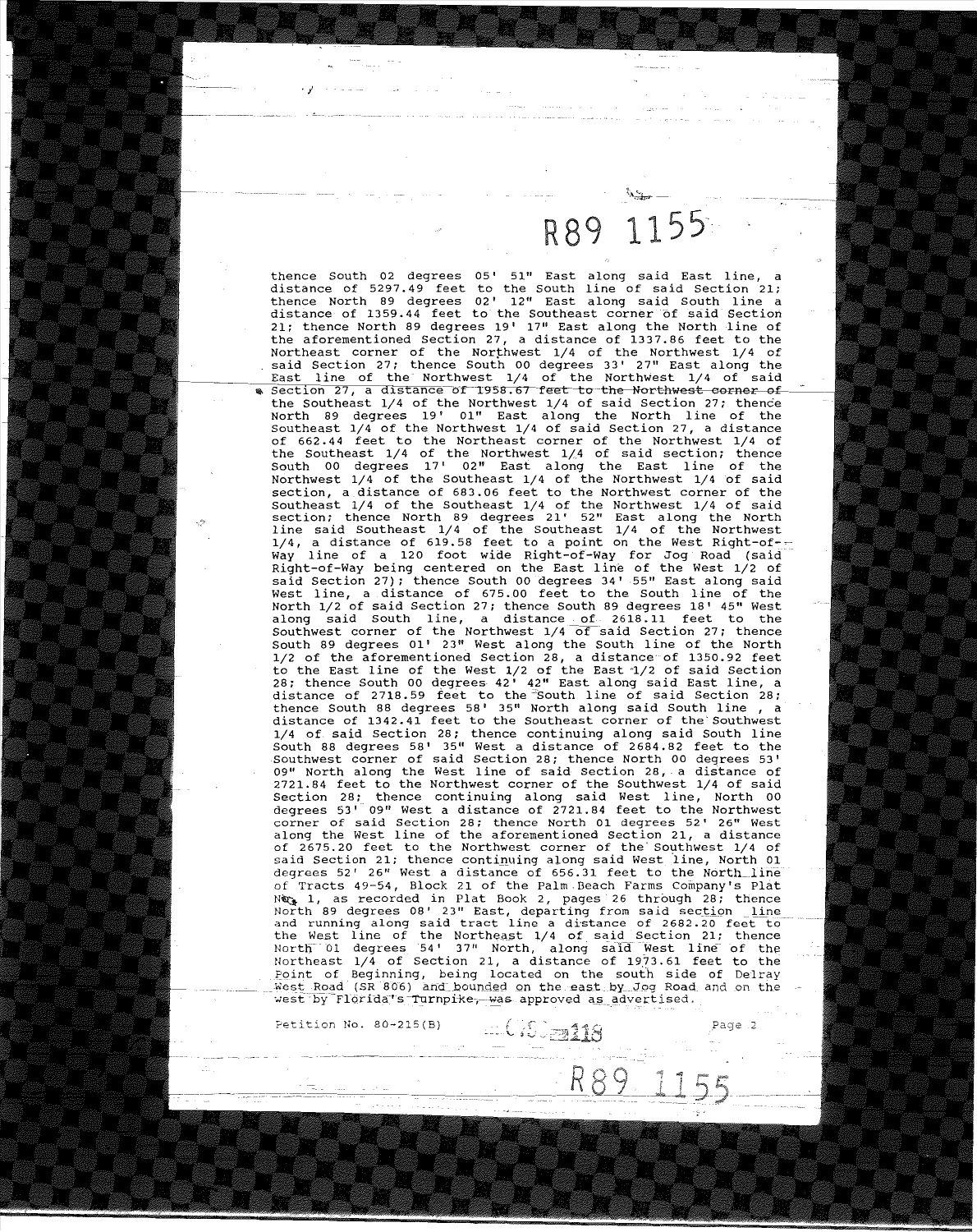## R89 1155

thence South 02 degrees 05' 51" East along said East line, a distance of 5297.49 feet to the South line of said Section 21; thence North 89 degrees 02' 12" East along said South line a thence North 89 degrees oz. Iz. East along said South line a<br>distance of 1359.44 feet to the Southeast corner of said Section<br>21; thence North 89 degrees 19' 17" East along the North line of the aforementioned Section 27, a distance of 1337.86 feet to the Northeast corner of the Northwest  $1/4$  of the Northwest  $1/4$  of said Section 27; thence South 00 degrees 33' 27" East along the<br>East line of the Northwest 1/4 of the Northwest 1/4 of said East line of the Northwest 1/4 of the Northwest 1/4 of said<br>Section 27, a distance of 1958.67 feet to the Northwest corner of the Southeast  $1/4$  of the Northwest  $1/4$  of said Section 27; thence North 89 degrees 19' 01" East along the North line of the southeast 1/4 of the Northwest 1/4 of said Section 27, a distance of 662.44 feet to the Northeast corner of the Northwest 1/4 of the Southeast 1/4 of the Northwest 1/,4 of said section; thence South 00 degrees 17' 02" East along the East line of the Northwest  $1/4$  of the Southeast  $1/4$  of the Northwest  $1/4$  of said section, a distance of 683.06 feet to the Northwest corner of the Southeast 1/4 of the Southeast 1/4 of the Northwest 1/4 of said section; thence North 89 degrees 21' 52" East along the North line said Southeast 1/4 of the Southeast 1/4 of the Northwest 1/4, a distance of 619.58 feet to a point on the West Right-of-- Way line of a 120 foot wide Right-of-way for Jog Road (said Right-of-Way being centered on the East line of the West 1/2 of said Section 27); thence South 00 degrees 34' 55" East along said West line, a distance of 675.00 feet to the South line of the North 1/2 of said Section 27; thence South 89 degrees 18' 45" West along said South line, a distance of 2618.11 feet to the southwest corner of the Northwest 1/4 of said Section 27; thence South 89 degrees 01' 23". West along the South line of the North 1/2 of the aforementioned Section 28, a distance of 1350.92 feet to the East line of the West 1/2 of the East '1/2 of said section 28; thence South 00 degrees 42' 42" East along said East line, a distance of 2718.59 feet to the ~South line of said Section 28; distance or 2718.59 reet to the South line or said Section 28;<br>thence South 88 degrees 58' 35" North along said South line , a<br>distance of 1342.41 feet to the Southeast corner of the Southwest 1/4 of said section 28; thence continuing along said South line South 88 degrees 58' 35" West a distance of 2684.82 feet to the Southwest corner of said Section 28; thence North 00 degrees 53' 09" North along the West line of said Section 28, a distance of 2721.84 feet to the Northwest corner of the Southwest 1/4 of said Section 28; tnence continuing along said West line, North 00 degrees 53' 09" West a distance of 2721.84 feet to the Northwest corner of said Section 28; thence North 01 degrees 52' 26" West along the West line of the aforementioned Section 21, a distance of 2675.20 feet to the Northwest corner of the Southwest 1/4 of said Section 21; thence continuing along said West line, North 01 degrees 52' 26" West a distance of 656.31 feet to the North line of Tracts 49-54, Block 21 of the Palm,Beach Farms Company's Plat Next, 1, as recorded in Plat Book 2, pages 26 through 28; thence<br>North 89 degrees 08' 23" East, departing from said section <u>line</u><br>and running along said tract line a distance of 2682.20 feet to<br>the West line of the Northe Northeast 1/4 of Section 21, a distance of 1973.61 feet to the Point of Beginning, being located on the south side of Delray west Road (SR 806) and bounded on the east by Jog Road and on the west by Florida's Turnpike, was approved as advertised.

Petition No. 80-215(B)  $\cdots$   $\cdots$   $\cdots$   $\cdots$   $\cdots$   $\cdots$  Page 2

R89

 $\mathbf{r}'$